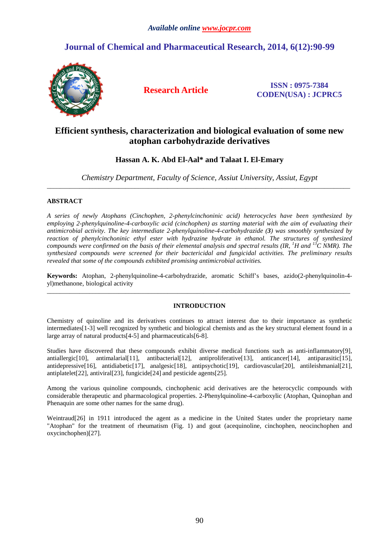# **Journal of Chemical and Pharmaceutical Research, 2014, 6(12):90-99**



**Research Article ISSN : 0975-7384 CODEN(USA) : JCPRC5**

# **Efficient synthesis, characterization and biological evaluation of some new atophan carbohydrazide derivatives**

# **Hassan A. K. Abd El-Aal\* and Talaat I. El-Emary**

*Chemistry Department, Faculty of Science, Assiut University, Assiut, Egypt*  \_\_\_\_\_\_\_\_\_\_\_\_\_\_\_\_\_\_\_\_\_\_\_\_\_\_\_\_\_\_\_\_\_\_\_\_\_\_\_\_\_\_\_\_\_\_\_\_\_\_\_\_\_\_\_\_\_\_\_\_\_\_\_\_\_\_\_\_\_\_\_\_\_\_\_\_\_\_\_\_\_\_\_\_\_\_\_\_\_\_\_\_\_

# **ABSTRACT**

*A series of newly Atophans (Cinchophen, 2-phenylcinchoninic acid) heterocycles have been synthesized by employing 2-phenylquinoline-4-carboxylic acid (cinchophen) as starting material with the aim of evaluating their antimicrobial activity. The key intermediate 2-phenylquinoline-4-carbohydrazide (3) was smoothly synthesized by reaction of phenylcinchoninic ethyl ester with hydrazine hydrate in ethanol. The structures of synthesized compounds were confirmed on the basis of their elemental analysis and spectral results (IR, <sup>1</sup>H and <sup>13</sup>C NMR). The synthesized compounds were screened for their bactericidal and fungicidal activities. The preliminary results revealed that some of the compounds exhibited promising antimicrobial activities.* 

**Keywords:** Atophan, 2-phenylquinoline-4-carbohydrazide, aromatic Schiff's bases, azido(2-phenylquinolin-4 yl)methanone, biological activity \_\_\_\_\_\_\_\_\_\_\_\_\_\_\_\_\_\_\_\_\_\_\_\_\_\_\_\_\_\_\_\_\_\_\_\_\_\_\_\_\_\_\_\_\_\_\_\_\_\_\_\_\_\_\_\_\_\_\_\_\_\_\_\_\_\_\_\_\_\_\_\_\_\_\_\_\_\_\_\_\_\_\_\_\_\_\_\_\_\_\_\_\_

# **INTRODUCTION**

Chemistry of quinoline and its derivatives continues to attract interest due to their importance as synthetic intermediates[1-3] well recognized by synthetic and biological chemists and as the key structural element found in a large array of natural products[4-5] and pharmaceuticals[6-8].

Studies have discovered that these compounds exhibit diverse medical functions such as anti-inflammatory[9], antiallergic<sup>[10]</sup>, antimalarial<sup>[11]</sup>, antibacterial<sup>[12]</sup>, antiproliferative<sup>[13]</sup>, anticancer<sup>[14]</sup>, antiparasitic<sup>[15]</sup>, antidepressive[16], antidiabetic[17], analgesic[18], antipsychotic[19], cardiovascular[20], antileishmanial[21], antiplatelet[22], antiviral[23], fungicide[24] and pesticide agents[25].

Among the various quinoline compounds, cinchophenic acid derivatives are the heterocyclic compounds with considerable therapeutic and pharmacological properties. 2-Phenylquinoline-4-carboxylic (Atophan, Quinophan and Phenaquin are some other names for the same drug).

Weintraud[26] in 1911 introduced the agent as a medicine in the United States under the proprietary name "Atophan" for the treatment of rheumatism (Fig. 1) and gout (acequinoline, cinchophen, neocinchophen and oxycinchophen)[27].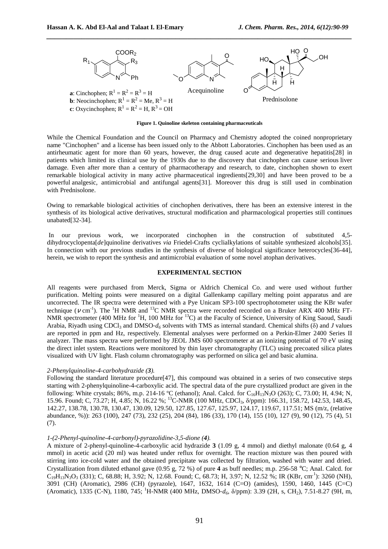

*\_\_\_\_\_\_\_\_\_\_\_\_\_\_\_\_\_\_\_\_\_\_\_\_\_\_\_\_\_\_\_\_\_\_\_\_\_\_\_\_\_\_\_\_\_\_\_\_\_\_\_\_\_\_\_\_\_\_\_\_\_\_\_\_\_\_\_\_\_\_\_\_\_\_\_\_\_\_*

**Figure 1. Quinoline skeleton containing pharmaceuticals** 

While the Chemical Foundation and the Council on Pharmacy and Chemistry adopted the coined nonproprietary name "Cinchophen" and a license has been issued only to the Abbott Laboratories. Cinchophen has been used as an antirheumatic agent for more than 60 years, however, the drug caused acute and degenerative hepatitis[28] in patients which limited its clinical use by the 1930s due to the discovery that cinchophen can cause serious liver damage. Even after more than a century of pharmacotherapy and research, to date, cinchophen shown to exert remarkable biological activity in many active pharmaceutical ingredients[29,30] and have been proved to be a powerful analgesic, antimicrobial and antifungal agents[31]. Moreover this drug is still used in combination with Prednisolone.

Owing to remarkable biological activities of cinchophen derivatives, there has been an extensive interest in the synthesis of its biological active derivatives, structural modification and pharmacological properties still continues unabated[32-34].

 In our previous work, we incorporated cinchophen in the construction of substituted 4,5 dihydrocyclopenta[*de*]quinoline derivatives *via* Friedel-Crafts cyclialkylations of suitable synthesized alcohols[35]. In connection with our previous studies in the synthesis of diverse of biological significance heterocycles[36-44], herein, we wish to report the synthesis and antimicrobial evaluation of some novel atophan derivatives.

# **EXPERIMENTAL SECTION**

All reagents were purchased from Merck, Sigma or Aldrich Chemical Co. and were used without further purification. Melting points were measured on a digital Gallenkamp capillary melting point apparatus and are uncorrected. The IR spectra were determined with a Pye Unicam SP3-100 spectrophotometer using the KBr wafer technique ( $v$  cm<sup>-1</sup>). The <sup>1</sup>H NMR and <sup>13</sup>C NMR spectra were recorded recorded on a Bruker ARX 400 MHz FT-NMR spectrometer (400 MHz for <sup>1</sup>H, 100 MHz for <sup>13</sup>C) at the Faculty of Science, University of King Saoud, Saudi Arabia, Riyadh using CDCl3 and DMSO‐*d6* solvents with TMS as internal standard. Chemical shifts (δ) and *J* values are reported in ppm and Hz, respectively. Elemental analyses were performed on a Perkin-Elmer 2400 Series II analyzer. The mass spectra were performed by JEOL JMS 600 spectrometer at an ionizing potential of 70 eV using the direct inlet system. Reactions were monitored by thin layer chromatography (TLC) using precoated silica plates visualized with UV light. Flash column chromatography was performed on silica gel and basic alumina.

# *2-Phenylquinoline-4-carbohydrazide (3).*

Following the standard literature procedure<sup>[47]</sup>, this compound was obtained in a series of two consecutive steps starting with 2-phenylquinoline-4-carboxylic acid. The spectral data of the pure crystallized product are given in the following: White crystals; 86%, m.p. 214-16 °C (ethanol); Anal. Calcd. for  $C_{16}H_{13}N_3O$  (263); C, 73.00; H, 4.94; N, 15.96. Found; C, 73.27; H, 4.85; N, 16.22 %; <sup>13</sup>C-NMR (100 MHz, CDCl3, δ/ppm): 166.31, 158.72, 142.53, 148.45, 142.27, 138.78, 130.78, 130.47, 130.09, 129.50, 127.85, 127.67, 125.97, 124.17, 119.67, 117.51; MS (m/z, (relative abundance, %)): 263 (100), 247 (73), 232 (25), 204 (84), 186 (33), 170 (14), 155 (10), 127 (9), 90 (12), 75 (4), 51 (7).

# *1-(2-Phenyl-quinoline-4-carbonyl)-pyrazolidine-3,5-dione (4).*

A mixture of 2-phenyl-quinoline-4-carboxylic acid hydrazide **3** (1.09 g, 4 mmol) and diethyl malonate (0.64 g, 4 mmol) in acetic acid (20 ml) was heated under reflux for overnight. The reaction mixture was then poured with stirring into ice-cold water and the obtained precipitate was collected by filtration, washed with water and dried. Crystallization from diluted ethanol gave (0.95 g, 72 %) of pure **4** as buff needles; m.p. 256-58 °C; Anal. Calcd. for  $C_{19}H_{13}N_3O_3$  (331); C, 68.88; H, 3.92; N, 12.68. Found; C, 68.73; H, 3.97; N, 12.52 %; IR (KBr, cm<sup>-1</sup>): 3260 (NH), 3091 (CH) (Aromatic), 2986 (CH) (pyrazole), 1647, 1632, 1614 (C=O) (amides), 1590, 1460, 1445 (C=C) (Aromatic), 1335 (C‐N), 1180, 745; <sup>1</sup>H-NMR (400 MHz, DMSO‐*d6*, δ/ppm): 3.39 (2H, s, CH2), 7.51-8.27 (9H, m,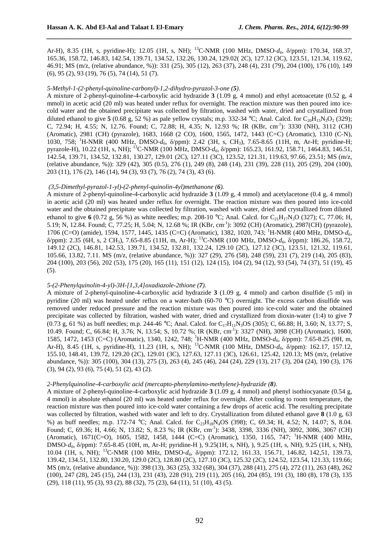Ar-H), 8.35 (1H, s, pyridine-H); 12.05 (1H, s, NH); <sup>13</sup>C-NMR (100 MHz, DMSO‐*d6*, δ/ppm): 170.34, 168.37, 165.36, 158.72, 146.83, 142.54, 139.71, 134.52, 132.26, 130.24, 129.02( 2C), 127.12 (3C), 123.51, 121.34, 119.62, 46.91; MS (m/z, (relative abundance, %)): 331 (25), 305 (12), 263 (37), 248 (4), 231 (79), 204 (100), 176 (10), 149 (6), 95 (2), 93 (19), 76 (5), 74 (14), 51 (7).

*\_\_\_\_\_\_\_\_\_\_\_\_\_\_\_\_\_\_\_\_\_\_\_\_\_\_\_\_\_\_\_\_\_\_\_\_\_\_\_\_\_\_\_\_\_\_\_\_\_\_\_\_\_\_\_\_\_\_\_\_\_\_\_\_\_\_\_\_\_\_\_\_\_\_\_\_\_\_*

#### *5-Methyl-1-(2-phenyl-quinoline-carbonyl)-1,2-dihydro-pyrazol-3-one (5).*

A mixture of 2-phenyl-quinoline-4-carboxylic acid hydrazide **3** (1.09 g, 4 mmol) and ethyl acetoacetate (0.52 g, 4 mmol) in acetic acid (20 ml) was heated under reflux for overnight. The reaction mixture was then poured into icecold water and the obtained precipitate was collected by filtration, washed with water, dried and crystallized from diluted ethanol to give **5** (0.68 g, 52 %) as pale yellow crystals; m.p. 332-34 °C; Anal. Calcd. for C<sub>20</sub>H<sub>15</sub>N<sub>3</sub>O<sub>2</sub> (329); C, 72.94; H, 4.55; N, 12.76. Found; C, 72.88; H, 4.35; N, 12.93 %; IR (KBr, cm<sup>-1</sup>): 3330 (NH), 3112 (CH) (Aromatic), 2981 (CH) (pyrazole), 1683, 1668 (2 CO), 1600, 1565, 1472, 1443 (C=C) (Aromatic), 1310 (C‐N), 1030, 758; <sup>1</sup>H-NMR (400 MHz, DMSO‐*d6*, δ/ppm): 2.42 (3H, s, CH3), 7.65-8.65 (11H, m, Ar-H; pyridine-H; pyrazole-H), 10.22 (1H, s, NH); <sup>13</sup>C-NMR (100 MHz, DMSO‐*d6*, δ/ppm): 165.23, 161.92, 158.71, 1464.83, 146.51, 142.54, 139.71, 134.52, 132.81, 130.27, 129.01 (2C), 127.11 (3C), 123.52, 121.31, 119.63, 97.66, 23.51; MS (m/z, (relative abundance, %)): 329 (42), 305 (0.5), 276 (1), 249 (8), 248 (14), 231 (39), 228 (11), 205 (29), 204 (100), 203 (11), 176 (2), 146 (14), 94 (3), 93 (7), 76 (2), 74 (3), 43 (6).

#### *(3,5-Dimethyl-pyrazol-1-yl)-(2-phenyl-quinolin-4yl)methanone (6).*

A mixture of 2-phenyl-quinoline-4-carboxylic acid hydrazide **3** (1.09 g, 4 mmol) and acetylacetone (0.4 g, 4 mmol) in acetic acid (20 ml) was heated under reflux for overnight. The reaction mixture was then poured into ice-cold water and the obtained precipitate was collected by filtration, washed with water, dried and crystallized from diluted ethanol to give **6** (0.72 g, 56 %) as white needles; m.p. 208-10 °C; Anal. Calcd. for C<sub>21</sub>H<sub>17</sub>N<sub>3</sub>O (327); C, 77.06; H, 5.19; N, 12.84. Found; C, 77.25; H, 5.04; N, 12.68 %; IR (KBr, cm<sup>-1</sup>): 3092 (CH) (Aromatic), 2987(CH) (pyrazole), 1706 (C=O) (amide), 1594, 1577, 1445, 1435 (C=C) (Aromatic), 1382, 1020, 743; <sup>1</sup>H-NMR (400 MHz, DMSO‐*d6*, δ/ppm): 2.35 (6H, s, 2 CH3), 7.65-8.85 (11H, m, Ar-H); <sup>13</sup>C-NMR (100 MHz, DMSO‐*d6*, δ/ppm): 186.26, 158.72, 149.12 (2C), 146.81, 142.53, 139.71, 134.52, 132.81, 132.24, 129.10 (2C), 127.12 (3C), 123.51, 121.32, 119.61, 105.66, 13.82, 7.11. MS (m/z, (relative abundance, %)): 327 (29), 276 (58), 248 (59), 231 (7), 219 (14), 205 (83), 204 (100), 203 (56), 202 (53), 175 (20), 165 (11), 151 (12), 124 (15), 104 (2), 94 (12), 93 (54), 74 (37), 51 (19), 45 (5).

# *5-(2-Phenylquinolin-4-yl)-3H-[1,3,4]oxadiazole-2thione (7).*

A mixture of 2-phenyl-quinoline-4-carboxylic acid hydrazide **3** (1.09 g, 4 mmol) and carbon disulfide (5 ml) in pyridine (20 ml) was heated under reflux on a water-bath (60-70 °C) overnight. The excess carbon disulfide was removed under reduced pressure and the reaction mixture was then poured into ice-cold water and the obtained precipitate was collected by filtration, washed with water, dried and crystallized from dioxin-water (1:4) to give **7** (0.73 g, 61 %) as buff needles; m.p. 244-46 °C; Anal. Calcd. for C<sub>17</sub>H<sub>11</sub>N<sub>3</sub>OS (305); C, 66.88; H, 3.60; N, 13.77; S, 10.49. Found; C, 66.84; H, 3.76; N, 13.54; S, 10.72 %; IR (KBr, cm<sup>-1</sup>): 3327 (NH), 3098 (CH) (Aromatic), 1600, 1585, 1472, 1453 (C=C) (Aromatic), 1340, 1242, 748; <sup>1</sup>H-NMR (400 MHz, DMSO‐*d6*, δ/ppm): 7.65-8.25 (9H, m, Ar-H), 8.45 (1H, s, pyridine-H), 11.23 (1H, s, NH); <sup>13</sup>C-NMR (100 MHz, DMSO‐*d6*, δ/ppm): 162.17, 157.12, 155.10, 148.41, 139.72, 129.20 (2C), 129.01 (3C), 127.63, 127.11 (3C), 126.61, 125.42, 120.13; MS (m/z, (relative abundance, %)): 305 (100), 304 (13), 275 (3), 263 (4), 245 (46), 244 (24), 229 (13), 217 (3), 204 (24), 190 (3), 176 (3), 94 (2), 93 (6), 75 (4), 51 (2), 43 (2).

#### *2-Phenylquinoline-4-carboxylic acid (mercapto-phenylamino-methylene)-hydrazide (8).*

A mixture of 2-phenyl-quinoline-4-carboxylic acid hydrazide **3** (1.09 g, 4 mmol) and phenyl isothiocyanate (0.54 g, 4 mmol) in absolute ethanol (20 ml) was heated under reflux for overnight. After cooling to room temperature, the reaction mixture was then poured into ice-cold water containing a few drops of acetic acid. The resulting precipitate was collected by filtration, washed with water and left to dry. Crystallization from diluted ethanol gave **8** (1.0 g, 63 %) as buff needles; m.p. 172-74 °C; Anal. Calcd. for C<sub>23</sub>H<sub>18</sub>N<sub>4</sub>OS (398); C, 69.34; H, 4.52; N, 14.07; S, 8.04. Found; C, 69.36; H, 4.66; N, 13.82; S, 8.23 %; IR (KBr, cm<sup>-1</sup>): 3438, 3398, 3336 (NH), 3092, 3086, 3067 (CH) (Aromatic), 1671(C=O), 1605, 1582, 1458, 1444 (C=C) (Aromatic), 1350, 1165, 747; <sup>1</sup>H-NMR (400 MHz, DMSO‐*d6*, δ/ppm): 7.65-8.45 (10H, m, Ar-H; pyridine-H ), 9.25(1H, s, NH), ), 9.25 (1H, s, NH), 9.25 (1H, s, NH), 10.04 (1H, s, NH); <sup>13</sup>C-NMR (100 MHz, DMSO‐*d6*, δ/ppm): 172.12, 161.33, 156.71, 146.82, 142,51, 139.73, 139.42, 134.51, 132.80, 130.20, 129.0 (2C), 128.80 (2C), 127.10 (3C), 125.32 (2C), 124.52, 123.54, 121.33, 119.66; MS (m/z, (relative abundance, %)): 398 (13), 363 (25), 332 (68), 304 (37), 288 (41), 275 (4), 272 (11), 263 (48), 262 (100), 247 (28), 245 (15), 244 (13), 231 (43), 228 (91), 219 (11), 205 (16), 204 (85), 191 (3), 180 (8), 178 (3), 135 (29), 118 (11), 95 (3), 93 (2), 88 (32), 75 (23), 64 (11), 51 (10), 43 (5).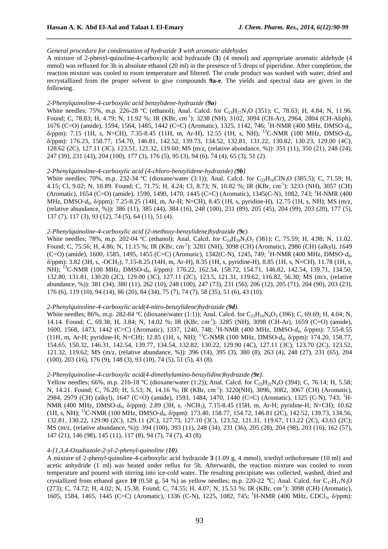# *General procedure for condensation of hydrazide 3 with aromatic aldehydes*

A mixture of 2-phenyl-quinoline-4-carboxylic acid hydrazide (**3**) (4 mmol) and appropriate aromatic aldehyde (4 mmol) was refluxed for 3h in absolute ethanol (20 ml) in the presence of 5 drops of piperidine. After completion, the reaction mixture was cooled to room temperature and filtered. The crude product was washed with water, dried and recrystallized from the proper solvent to give compounds **9a-e**. The yields and spectral data are given in the following.

*\_\_\_\_\_\_\_\_\_\_\_\_\_\_\_\_\_\_\_\_\_\_\_\_\_\_\_\_\_\_\_\_\_\_\_\_\_\_\_\_\_\_\_\_\_\_\_\_\_\_\_\_\_\_\_\_\_\_\_\_\_\_\_\_\_\_\_\_\_\_\_\_\_\_\_\_\_\_*

# *2-Phenylquinoline-4-carboxylic acid benzylidene-hydrazide (9a)*

White needles; 75%, m.p. 226-28 °C (ethanol); Anal. Calcd. for  $C_{23}H_{17}N_3O$  (351); C, 78.63; H, 4.84; N, 11.96. Found; C, 78.83; H, 4.79; N, 11.92 %; IR (KBr, cm<sup>-1</sup>): 3238 (NH), 3102, 3094 (CH-Ar), 2964, 2804 (CH-Aliph), 1676 (C=O) (amide), 1594, 1564, 1485, 1442 (C=C) (Aromatic), 1325, 1142, 746; <sup>1</sup>H-NMR (400 MHz, DMSO‐*d6*, δ/ppm): 7.15 (1H, s, N=CH), 7.35-8.45 (11H, m, Ar-H), 12.55 (1H, s, NH); <sup>13</sup>C-NMR (100 MHz, DMSO‐*d6*, δ/ppm): 176.23, 158.77, 154.70, 146.81, 142.52, 139.73, 134.52, 132.81, 131.22, 130.82, 130.23, 129.00 (4C), 128.62 (2C), 127.11 (3C), 123.51, 121.32, 119.60; MS (m/z, (relative abundance, %)): 351 (11), 350 (21), 248 (24), 247 (39), 231 (43), 204 (100), 177 (3), 176 (5), 95 (3), 94 (6), 74 (4), 65 (3), 51 (2).

#### *2-Phenylquinoline-4-carboxylic acid (4-chloro-benzylidene-hydrazide) (9b)*

White needles; 70%, m.p. 232-34 °C (dioxane/water (3:1)); Anal. Calcd. for  $C_{23}H_{16}CN_{3}O$  (385.5); C, 71.59; H, 4.15; Cl, 9.02; N, 10.89. Found; C, 71.75; H, 4.24; Cl, 8.73; N, 10.82 %; IR (KBr, cm<sup>-1</sup>): 3233 (NH), 3057 (CH) (Aromatic), 1654 (C=O) (amide), 1590, 1490, 1470, 1445 (C=C) (Aromatic), 1345(C‐N), 1082, 743; <sup>1</sup>H-NMR (400 MHz, DMSO‐*d6*, δ/ppm): 7.25-8.25 (14H, m, Ar-H; N=CH), 8.45 (1H, s, pyridine-H), 12.75 (1H, s, NH); MS (m/z, (relative abundance, %)): 386 (11), 385 (44), 384 (16), 248 (100), 231 (89), 205 (45), 204 (99), 203 (20), 177 (5), 137 (7), 117 (3), 93 (12), 74 (5), 64 (11), 51 (4).

# *2-Phenylquinoline-4-carboxylic acid (2-methoxy-benzylidene)hydrazide (9c).*

White needles; 78%, m.p. 202-04 °C (ethanol); Anal. Calcd. for  $C_{24}H_{19}N_3O_2$  (381); C, 75.59; H, 4.98; N, 11.02. Found; C, 75.56; H, 4.86; N, 11.15 %; IR (KBr, cm<sup>-1</sup>): 3281 (NH), 3098 (CH) (Aromatic), 2986 (CH) (alkyl), 1649 (C=O) (amide), 1600, 1585, 1495, 1455 (C=C) (Aromatic), 1342(C‐N), 1245, 749; <sup>1</sup>H-NMR (400 MHz, DMSO‐*d6*, δ/ppm): 3.82 (3H, s, -OCH3), 7.15-8.25 (14H, m, Ar-H), 8.35 (1H, s, pyridine-H), 8.85 (1H, s, N=CH), 11.78 (1H, s, NH); <sup>13</sup>C-NMR (100 MHz, DMSO-d<sub>6</sub>,  $\delta$ /ppm): 176.22, 162.54, 158.72, 154.71, 146.82, 142.54, 139.71, 134.50, 132.80, 131.81, 130.20 (2C), 129.00 (3C), 127.11 (2C), 123.5, 121.31, 119.62, 116.82, 56.30; MS (m/z, (relative abundance, %)): 381 (34), 380 (11), 262 (10), 248 (100), 247 (73), 231 (56), 206 (12), 205 (71), 204 (90), 203 (23), 176 (6), 119 (10), 94 (14), 86 (20), 84 (34), 75 (7), 74 (7), 58 (35), 51 (6), 43 (10).

#### *2-Phenylquinoline-4-carboxylic acid(4-nitro-benzylidene)hydrazide (9d).*

White needles; 86%, m.p. 282-84 °C (dioxane/water (1:1)); Anal. Calcd. for  $C_{23}H_{16}N_4O_3$  (396); C, 69.69; H, 4.04; N, 14.14. Found; C, 69.38; H, 3.84; N, 14.02 %; IR (KBr, cm<sup>-1</sup>): 3285 (NH), 3098 (CH-Ar), 1659 (C=O) (amide), 1600, 1568, 1473, 1442 (C=C) (Aromatic), 1337, 1240, 748; <sup>1</sup>H-NMR (400 MHz, DMSO‐*d*6, δ/ppm): 7.55-8.55 (11H, m, Ar-H; pyridine-H; N=CH); 12.85 (1H, s, NH); <sup>13</sup>C-NMR (100 MHz, DMSO‐*d6*, δ/ppm): 174.20, 158.77, 154.65, 150.32, 146.31, 142.54, 139.77, 134.54, 132.82, 130.22, 129.90 (4C), 127.11 (3C), 123.70 (2C), 123.52, 121.32, 119.62; MS (m/z, (relative abundance, %)): 396 (14), 395 (3), 380 (8), 263 (4), 248 (27), 231 (65), 204 (100), 203 (16), 176 (9), 148 (3), 93 (10), 74 (5), 51 (5), 43 (8).

# *2-Phenylquinoline-4-carboxylic acid(4-dimethylamino-benzylidine)hydrazide (9e).*

Yellow needles; 66%, m.p. 216-18 °C (dioxane/water (1:2)); Anal. Calcd. for C<sub>25</sub>H<sub>22</sub>N<sub>4</sub>O (394); C, 76.14; H, 5.58; N, 14.21. Found; C, 76.20; H, 5.53; N, 14.16 %; IR (KBr, cm<sup>-1</sup>): 3220(NH), 3096, 3082, 3067 (CH) (Aromatic), 2984, 2979 (CH) (alkyl), 1647 (C=O) (amide), 1593, 1484, 1470, 1440 (C=C) (Aromatic), 1325 (C‐N), 743; <sup>1</sup>H-NMR (400 MHz, DMSO‐*d6*, δ/ppm): 2.89 (3H, s, -NCH3), 7.15-8.45 (15H, m, Ar-H; pyridine-H; N=CH); 10.62 (1H, s, NH); <sup>13</sup>C-NMR (100 MHz, DMSO‐*d6*, δ/ppm): 173.40, 158.77, 154.72, 146.81 (2C), 142.52, 139.73, 134.56, 132.81, 130.22, 129.90 (2C), 129.11 (2C), 127.73, 127.10 (3C), 123.52, 121.31, 119.67, 113.22 (2C), 43.63 (2C); MS (m/z, (relative abundance, %)): 394 (100), 393 (11), 248 (34), 231 (36), 205 (28), 204 (98), 203 (16), 162 (57), 147 (21), 146 (98), 145 (11), 117 (8), 94 (7), 74 (7), 43 (8).

# *4-[1,3,4-Oxadiazole-2-yl-2-phenyl-quinoline (10).*

A mixture of 2-phenyl-quinoline-4-carboxylic acid hydrazide **3** (1.09 g, 4 mmol), triethyl orthoformate (10 ml) and acetic anhydride (1 ml) was heated under reflux for 5h. Afterwards, the reaction mixture was cooled to room temperature and poured with stirring into ice-cold water. The resulting precipitate was collected, washed, dried and crystallized from ethanol gave 10 (0.58 g, 54 %) as yellow needles; m.p. 220-22 °C; Anal. Calcd. for  $C_{17}H_{11}N_3O$ (273); C, 74.72; H, 4.02; N, 15.38. Found; C, 74.55; H, 4.07; N, 15.53 %; IR (KBr, cm<sup>-1</sup>): 3098 (CH) (Aromatic), 1605, 1584, 1465, 1445 (C=C) (Aromatic), 1336 (C-N), 1225, 1082, 745; <sup>1</sup>H-NMR (400 MHz, CDCl<sub>3</sub>,  $\delta$ /ppm):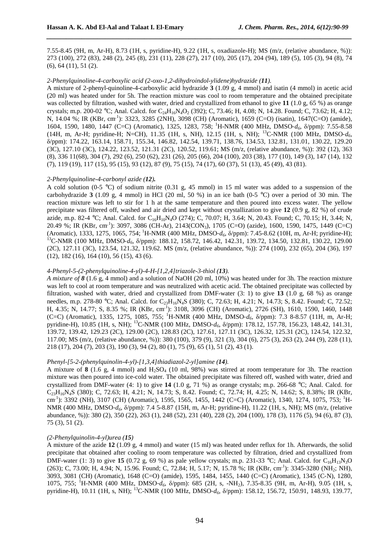7.55-8.45 (9H, m, Ar-H), 8.73 (1H, s, pyridine-H), 9.22 (1H, s, oxadiazole-H); MS (m/z, (relative abundance, %)): 273 (100), 272 (83), 248 (2), 245 (8), 231 (11), 228 (27), 217 (10), 205 (17), 204 (94), 189 (5), 105 (3), 94 (8), 74 (6), 64 (11), 51 (2).

*\_\_\_\_\_\_\_\_\_\_\_\_\_\_\_\_\_\_\_\_\_\_\_\_\_\_\_\_\_\_\_\_\_\_\_\_\_\_\_\_\_\_\_\_\_\_\_\_\_\_\_\_\_\_\_\_\_\_\_\_\_\_\_\_\_\_\_\_\_\_\_\_\_\_\_\_\_\_*

# *2-Phenylquinoline-4-carboxylic acid (2-oxo-1,2-dihydroindol-ylidene)hydrazide (11).*

A mixture of 2-phenyl-quinoline-4-carboxylic acid hydrazide **3** (1.09 g, 4 mmol) and isatin (4 mmol) in acetic acid (20 ml) was heated under for 5h. The reaction mixture was cool to room temperature and the obtained precipitate was collected by filtration, washed with water, dried and crystallized from ethanol to give **11** (1.0 g, 65 %) as orange crystals; m.p. 200-02 °C; Anal. Calcd. for  $C_{24}H_{16}N_4O_2$  (392); C, 73.46; H, 4.08; N, 14.28. Found; C, 73.62; H, 4.12; N, 14.04 %; IR (KBr, cm<sup>-1</sup>): 3323, 3285 (2NH), 3098 (CH) (Aromatic), 1659 (C=O) (isatin), 1647(C=O) (amide), 1604, 1590, 1480, 1447 (C=C) (Aromatic), 1325, 1283, 758; <sup>1</sup>H-NMR (400 MHz, DMSO‐*d6*, δ/ppm): 7.55-8.58 (14H, m, Ar-H; pyridine-H; N=CH), 11.35 (1H, s, NH), 12.15 (1H, s, NH); <sup>13</sup>C-NMR (100 MHz, DMSO‐*d6*, δ/ppm): 174.22, 163.14, 158.71, 155.34, 146.82, 142.54, 139.71, 138.76, 134.53, 132.81, 131.01, 130.22, 129.20 (3C), 127.10 (3C), 124.22, 123.52, 121.31 (2C), 120.52, 119.61; MS (m/z, (relative abundance, %)): 392 (12), 363 (8), 336 11(68), 304 (7), 292 (6), 250 (62), 231 (26), 205 (66), 204 (100), 203 (38), 177 (10), 149 (3), 147 (14), 132 (7), 119 (19), 117 (15), 95 (15), 93 (12), 87 (9), 75 (15), 74 (17), 60 (37), 51 (13), 45 (49), 43 (81).

#### *2-Phenylquinoline-4-carbonyl azide (12).*

A cold solution (0-5 °C) of sodium nitrite (0.31 g, 45 mmol) in 15 ml water was added to a suspension of the carbohydrazide **3** (1.09 g, 4 mmol) in HCl (20 ml, 50 %) in an ice bath (0-5 °C) over a period of 30 min. The reaction mixture was left to stir for 1 h at the same temperature and then poured into excess water. The yellow precipitate was filtered off, washed and air dried and kept without crystallization to give **12** (0.9 g, 82 %) of crude azide, m.p. 82-4 °C; Anal. Calcd. for C<sub>16</sub>H<sub>10</sub>N<sub>4</sub>O (274); C, 70.07; H, 3.64; N, 20.43. Found; C, 70.15; H, 3.44; N, 20.49 %; IR (KBr, cm<sup>-1</sup>): 3097, 3086 (CH-Ar), 2143(CON<sub>3</sub>), 1705 (C=O) (azide), 1600, 1590, 1475, 1449 (C=C) (Aromatic), 1333, 1275, 1065, 754; <sup>1</sup>H-NMR (400 MHz, DMSO‐*d6*, δ/ppm): 7.45-8.62 (10H, m, Ar-H; pyridine-H); <sup>13</sup>C-NMR (100 MHz, DMSO- $d_6$ ,  $\delta$ /ppm): 188.12, 158.72, 146.42, 142.31, 139.72, 134.50, 132.81, 130.22, 129.00 (2C), 127.11 (3C), 123.54, 121.32, 119.62. MS (m/z, (relative abundance, %)): 274 (100), 232 (65), 204 (36), 197 (12), 182 (16), 164 (10), 56 (15), 43 (6).

# *4-Phenyl-5-(2-phenylquinoline-4-yl)-4-H-[1,2,4]triazole-3-thiol (13).*

*A mixture of 8* (1.6 g, 4 mmol) and a solution of NaOH (20 ml, 10%) was heated under for 3h. The reaction mixture was left to cool at room temperature and was neutralized with acetic acid. The obtained precipitate was collected by filtration, washed with water, dried and crystallized from DMF-water (3: 1) to give **13** (1.0 g, 68 %) as orange needles, m.p. 278-80 °C; Anal. Calcd. for C<sub>23</sub>H<sub>16</sub>N<sub>4</sub>S (380); C, 72.63; H, 4.21; N, 14.73; S, 8.42. Found; C, 72.52; H, 4.35; N, 14.77; S, 8.35 %; IR (KBr, cm‐ 1 ): 3108, 3096 (CH) (Aromatic), 2726 (SH), 1610, 1590, 1460, 1448 (C=C) (Aromatic), 1335, 1275, 1085, 755; <sup>1</sup>H-NMR (400 MHz, DMSO‐*d6*, δ/ppm): 7.3 8-8.57 (11H, m, Ar-H; pyridine-H), 10.85 (1H, s, NH); <sup>13</sup>C-NMR (100 MHz, DMSO‐*d6*, δ/ppm): 178.12, 157.78, 156.23, 148.42, 141.31, 139.72, 139.42, 129.23 (2C), 129.00 (2C), 128.83 (2C), 127.61, 127.11 (3C), 126.32, 125.31 (2C), 124.54, 122.32, 117.00; MS (m/z, (relative abundance, %)): 380 (100), 379 (9), 321 (3), 304 (6), 275 (3), 263 (2), 244 (9), 228 (11), 218 (17), 204 (7), 203 (3), 190 (3), 94 (2), 80 (1), 75 (9), 65 (1), 51 (2), 43 (1).

# *Phenyl-[5-2-(phenylquinolin-4-yl)-[1,3,4]thiadiazol-2-yl]amine (14).*

A mixture of **8** (1.6 g, 4 mmol) and  $H_2SO_4$  (10 ml, 98%) was stirred at room temperature for 3h. The reaction mixture was then poured into ice-cold water. The obtained precipitate was filtered off, washed with water, dried and crystallized from DMF-water (4: 1) to give **14** (1.0 g, 71 %) as orange crystals; m.p. 266-68 °C; Anal. Calcd. for C23H16N4S (380); C, 72.63; H, 4.21; N, 14.73; S, 8.42. Found; C, 72.74; H, 4.25; N, 14.62; S, 8.38%; IR (KBr, cm<sup>-1</sup>): 3392 (NH), 3107 (CH) (Aromatic), 1595, 1565, 1455, 1442 (C=C) (Aromatic), 1340, 1274, 1075, 753; <sup>1</sup>H-NMR (400 MHz, DMSO*-d<sub>6</sub>*, δ/ppm): 7.4 5-8.87 (15H, m, Ar-H; pyridine-H), 11.22 (1H, s, NH); MS (m/z, (relative abundance, %)): 380 (2), 350 (22), 263 (1), 248 (52), 231 (40), 228 (2), 204 (100), 178 (3), 1176 (5), 94 (6), 87 (3), 75 (3), 51 (2).

#### *(2-Phenylquinolin-4-yl)urea (15)*

A mixture of the azide **12** (1.09 g, 4 mmol) and water (15 ml) was heated under reflux for 1h. Afterwards, the solid precipitate that obtained after cooling to room temperature was collected by filtration, dried and crystallized from DMF-water (1: 3) to give **15** (0.72 g, 69 %) as pale yellow crystals; m.p. 231-33 °C; Anal. Calcd. for C<sub>16</sub>H<sub>13</sub>N<sub>3</sub>O  $(263)$ ; C, 73.00; H, 4.94; N, 15.96. Found; C, 72.84; H, 5.17; N, 15.78 %; IR (KBr, cm<sup>-1</sup>): 3345-3280 (NH<sub>2</sub>; NH), 3093, 3081 (CH) (Aromatic), 1648 (C=O) (amide), 1595, 1484, 1455, 1440 (C=C) (Aromatic), 1345 (C‐N), 1280, 1075, 755; <sup>1</sup>H-NMR (400 MHz, DMSO‐*d6*, δ/ppm): 685 (2H, s, -NH2), 7.35-8.35 (9H, m, Ar-H), 9.05 (1H, s, pyridine-H), 10.11 (1H, s, NH); <sup>13</sup>C-NMR (100 MHz, DMSO‐*d6*, δ/ppm): 158.12, 156.72, 150.91, 148.93, 139.77,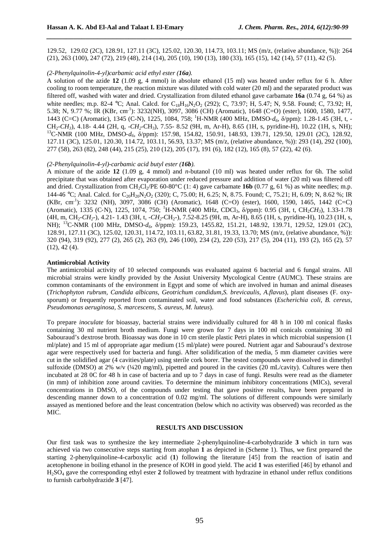129.52, 129.02 (2C), 128.91, 127.11 (3C), 125.02, 120.30, 114.73, 103.11; MS (m/z, (relative abundance, %)): 264 (21), 263 (100), 247 (72), 219 (48), 214 (14), 205 (10), 190 (13), 180 (33), 165 (15), 142 (14), 57 (11), 42 (5).

*\_\_\_\_\_\_\_\_\_\_\_\_\_\_\_\_\_\_\_\_\_\_\_\_\_\_\_\_\_\_\_\_\_\_\_\_\_\_\_\_\_\_\_\_\_\_\_\_\_\_\_\_\_\_\_\_\_\_\_\_\_\_\_\_\_\_\_\_\_\_\_\_\_\_\_\_\_\_*

#### *(2-Phenylquinolin-4-yl)carbamic acid ethyl ester (16a).*

A solution of the azide **12** (1.09 g, 4 mmol) in absolute ethanol (15 ml) was heated under reflux for 6 h. After cooling to room temperature, the reaction mixture was diluted with cold water (20 ml) and the separated product was filtered off, washed with water and dried. Crystallization from diluted ethanol gave carbamate **16a** (0.74 g, 64 %) as white needles; m.p. 82-4 °C; Anal. Calcd. for  $C_{18}H_{16}N_2O_2$  (292); C, 73.97; H, 5.47; N, 9.58. Found; C, 73.92; H, 5.38; N, 9.77 %; IR (KBr, cm<sup>-1</sup>): 3232(NH), 3097, 3086 (CH) (Aromatic), 1648 (C=O) (ester), 1600, 1580, 1477, 1443 (C=C) (Aromatic), 1345 (C-N), 1225, 1084, 758; <sup>1</sup>H-NMR (400 MHz, DMSO‐*d6*, δ/ppm): 1.28-1.45 (3H, t, - CH2-*CH3*), 4.18- 4.44 (2H, q, -*CH2*-CH3), 7.55- 8.52 (9H, m, Ar-H), 8.65 (1H, s, pyridine-H), 10.22 (1H, s, NH); <sup>13</sup>C-NMR (100 MHz, DMSO‐*d6*, δ/ppm): 157.98, 154.82, 150.91, 148.93, 139.71, 129.50, 129.01 (2C), 128.92, 127.11 (3C), 125.01, 120.30, 114.72, 103.11, 56.93, 13.37; MS (m/z, (relative abundance, %)): 293 (14), 292 (100), 277 (58), 263 (82), 248 (44), 215 (25), 210 (12), 205 (17), 191 (6), 182 (12), 165 (8), 57 (22), 42 (6).

#### *(2-Phenylquinolin-4-yl)-carbamic acid butyl ester (16b).*

A mixture of the azide **12** (1.09 g, 4 mmol) and *n*-butanol (10 ml) was heated under reflux for 6h. The solid precipitate that was obtained after evaporation under reduced pressure and addition of water (20 ml) was filtered off and dried. Crystallization from  $CH_2Cl_2/PE$  60-80°C (1: 4) gave carbamate **16b** (0.77 g, 61 %) as white needles; m.p. 144-46 °C; Anal. Calcd. for C<sub>20</sub>H<sub>20</sub>N<sub>2</sub>O<sub>2</sub> (320); C, 75.00; H, 6.25; N, 8.75. Found; C, 75.21; H, 6.09; N, 8.62 %; IR (KBr, cm‐ 1 ): 3232 (NH), 3097, 3086 (CH) (Aromatic), 1648 (C=O) (ester), 1600, 1590, 1465, 1442 (C=C) (Aromatic), 1335 (C‐N), 1225, 1074, 750; <sup>1</sup>H-NMR (400 MHz, CDCl3, δ/ppm): 0.95 (3H, t, CH2*CH3*), 1.33-1.78 (4H, m, CH2-*CH2*-), 4.21- 1.43 (3H, t, -*CH2*-CH2-), 7.52-8.25 (9H, m, Ar-H), 8.65 (1H, s, pyridine-H), 10.23 (1H, s, NH); <sup>13</sup>C-NMR (100 MHz, DMSO-*d*<sub>6</sub>, δ/ppm): 159.23, 1455.82, 151.21, 148.92, 139.71, 129.52, 129.01 (2C), 128.91, 127.11 (3C), 125.02, 120.31, 114.72, 103.11, 63.82, 31.81, 19.33, 13.70; MS (m/z, (relative abundance, %)): 320 (94), 319 (92), 277 (2), 265 (2), 263 (9), 246 (100), 234 (2), 220 (53), 217 (5), 204 (11), 193 (2), 165 (2), 57 (12), 42 (4).

#### **Antimicrobial Activity**

The antimicrobial activity of 10 selected compounds was evaluated against 6 bacterial and 6 fungal strains. All microbial strains were kindly provided by the Assiut University Mycological Centre (AUMC). These strains are common contaminants of the environment in Egypt and some of which are involved in human and animal diseases (*Trichophyton rubrum, Candida albicans, Geotrichum candidum,S. brevicaulis, A.flavus*), plant diseases (F. oxysporum) or frequently reported from contaminated soil, water and food substances (*Escherichia coli, B. cereus, Pseudomonas aeruginosa, S. marcescens, S. aureus, M. luteus*).

To prepare *inoculate* for bioassay, bacterial strains were individually cultured for 48 h in 100 ml conical flasks containing 30 ml nutrient broth medium. Fungi were grown for 7 days in 100 ml conicals containing 30 ml Sabouraud's dextrose broth. Bioassay was done in 10 cm sterile plastic Petri plates in which microbial suspension (1 ml/plate) and 15 ml of appropriate agar medium (15 ml/plate) were poured. Nutrient agar and Sabouraud's dextrose agar were respectively used for bacteria and fungi. After solidification of the media, 5 mm diameter cavities were cut in the solidified agar (4 cavities/plate) using sterile cork borer. The tested compounds were dissolved in dimethyl sulfoxide (DMSO) at 2% w/v (¼20 mg/ml), pipetted and poured in the cavities (20 mL/cavity). Cultures were then incubated at 28 0C for 48 h in case of bacteria and up to 7 days in case of fungi. Results were read as the diameter (in mm) of inhibition zone around cavities. To determine the minimum inhibitory concentrations (MICs), several concentrations in DMSO, of the compounds under testing that gave positive results, have been prepared in descending manner down to a concentration of 0.02 mg/ml. The solutions of different compounds were similarly assayed as mentioned before and the least concentration (below which no activity was observed) was recorded as the MIC.

## **RESULTS AND DISCUSSION**

Our first task was to synthesize the key intermediate 2-phenylquinoline-4-carbohydrazide **3** which in turn was achieved via two consecutive steps starting from atophan **1** as depicted in (Scheme 1). Thus, we first prepared the starting 2-phenylquinoline-4-carboxylic acid (**1**) following the literature [45] from the reaction of isatin and acetophenone in boiling ethanol in the presence of KOH in good yield. The acid **1** was esterified [46] by ethanol and H2SO4 gave the corresponding ethyl ester **2** followed by treatment with hydrazine in ethanol under reflux conditions to furnish carbohydrazide **3** [47].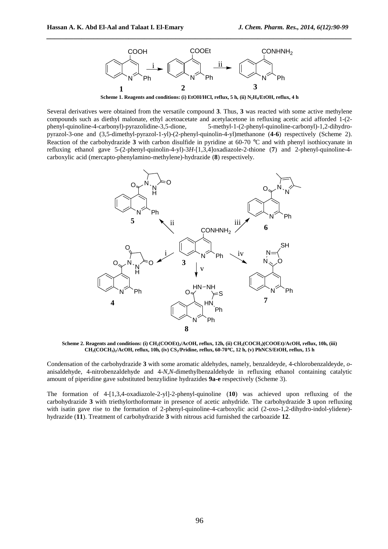

*\_\_\_\_\_\_\_\_\_\_\_\_\_\_\_\_\_\_\_\_\_\_\_\_\_\_\_\_\_\_\_\_\_\_\_\_\_\_\_\_\_\_\_\_\_\_\_\_\_\_\_\_\_\_\_\_\_\_\_\_\_\_\_\_\_\_\_\_\_\_\_\_\_\_\_\_\_\_*

**Scheme 1. Reagents and conditions: (i) EtOH/HCl, reflux, 5 h, (ii) N2H4/EtOH, reflux, 4 h** 

Several derivatives were obtained from the versatile compound **3**. Thus, **3** was reacted with some active methylene compounds such as diethyl malonate, ethyl acetoacetate and acetylacetone in refluxing acetic acid afforded 1-(2-<br>phenyl-quinoline-4-carbonyl)-pyrazolidine-3,5-dione,<br>5-methyl-1-(2-phenyl-quinoline-carbonyl)-1,2-dihydro-5-methyl-1-(2-phenyl-quinoline-carbonyl)-1,2-dihydropyrazol-3-one and (3,5-dimethyl-pyrazol-1-yl)-(2-phenyl-quinolin-4-yl)methanone (**4-6**) respectively (Scheme 2). Reaction of the carbohydrazide **3** with carbon disulfide in pyridine at 60-70 °C and with phenyl isothiocyanate in refluxing ethanol gave 5-(2-phenyl-quinolin-4-yl)-3*H*-[1,3,4]oxadiazole-2-thione (**7**) and 2-phenyl-quinoline-4 carboxylic acid (mercapto-phenylamino-methylene)-hydrazide (**8**) respectively.



**Scheme 2. Reagents and conditions: (i) CH2(COOEt)2/AcOH, reflux, 12h, (ii) CH2(COCH3)(COOEt)/AcOH, reflux, 10h, (iii) CH2(COCH3)2/AcOH, reflux, 10h, (iv) CS2/Pridine, reflux, 60-70**°**C, 12 h, (v) PhNCS/EtOH, reflux, 15 h** 

Condensation of the carbohydrazide **3** with some aromatic aldehydes, namely, benzaldeyde, 4-chlorobenzaldeyde, *o*anisaldehyde, 4-nitrobenzaldehyde and 4-*N*,*N*-dimethylbenzaldehyde in refluxing ethanol containing catalytic amount of piperidine gave substituted benzylidine hydrazides **9a-e** respectively (Scheme 3).

The formation of 4-[1,3,4-oxadiazole-2-yl]-2-phenyl-quinoline (**10**) was achieved upon refluxing of the carbohydrazide **3** with triethylorthoformate in presence of acetic anhydride. The carbohydrazide **3** upon refluxing with isatin gave rise to the formation of 2-phenyl-quinoline-4-carboxylic acid (2-oxo-1,2-dihydro-indol-ylidene)hydrazide (**11**). Treatment of carbohydrazide **3** with nitrous acid furnished the carboazide **12**.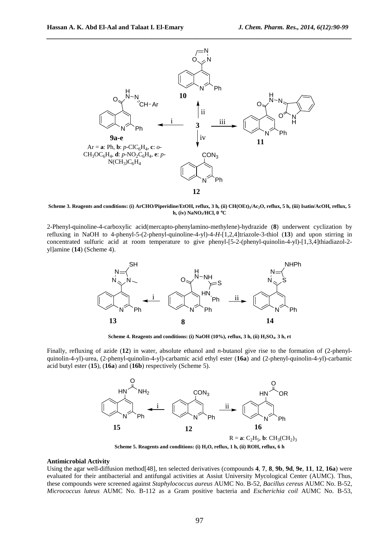

**Scheme 3. Reagents and conditions: (i) ArCHO/Piperidine/EtOH, reflux, 3 h, (ii) CH(OEt)3/Ac2O, reflux, 5 h, (iii) Isatin/AcOH, reflux, 5 h, (iv) NaNO2/HCl, 0** °**C** 

2-Phenyl-quinoline-4-carboxylic acid(mercapto-phenylamino-methylene)-hydrazide (**8**) underwent cyclization by refluxing in NaOH to 4-phenyl-5-(2-phenyl-quinoline-4-yl)-4-*H*-[1,2,4]triazole-3-thiol (**13**) and upon stirring in concentrated sulfuric acid at room temperature to give phenyl-[5-2-(phenyl-quinolin-4-yl)-[1,3,4]thiadiazol-2 yl]amine (**14**) (Scheme 4).



**Scheme 4. Reagents and conditions: (i) NaOH (10%), reflux, 3 h, (ii) H2SO4. 3 h, rt** 

Finally, refluxing of azide (**12**) in water, absolute ethanol and *n*-butanol give rise to the formation of (2-phenylquinolin-4-yl)-urea, (2-phenyl-quinolin-4-yl)-carbamic acid ethyl ester (**16a**) and (2-phenyl-quinolin-4-yl)-carbamic acid butyl ester (**15**), (**16a**) and (**16b**) respectively (Scheme 5).



**Scheme 5. Reagents and conditions: (i) H2O, reflux, 1 h, (ii) ROH, reflux, 6 h** 

# **Antimicrobial Activity**

Using the agar well-diffusion method[48], ten selected derivatives (compounds **4**, **7**, **8**, **9b**, **9d**, **9e**, **11**, **12**, **16a**) were evaluated for their antibacterial and antifungal activities at Assiut University Mycological Center (AUMC). Thus, these compounds were screened against *Staphylococcus aureus* AUMC No. B-52*, Bacillus cereus* AUMC No. B-52, *Micrococcus luteus* AUMC No. B-112 as a Gram positive bacteria and *Escherichia coil* AUMC No. B-53,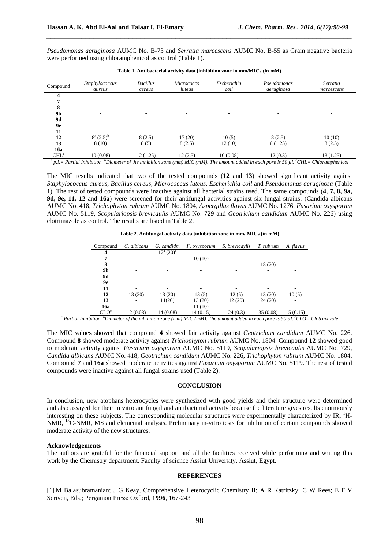*Pseudomonas aeruginosa* AUMC No. B-73 and *Serratia marcescens* AUMC No. B-55 as Gram negative bacteria were performed using chloramphenicol as control (Table 1).

*\_\_\_\_\_\_\_\_\_\_\_\_\_\_\_\_\_\_\_\_\_\_\_\_\_\_\_\_\_\_\_\_\_\_\_\_\_\_\_\_\_\_\_\_\_\_\_\_\_\_\_\_\_\_\_\_\_\_\_\_\_\_\_\_\_\_\_\_\_\_\_\_\_\_\_\_\_\_*

| Compound         | Staphylococcus<br>aureus | <b>Bacillus</b><br>cereus | <b>Micrococcs</b><br>luteus | Escherichia<br>coil | Pseudomonas<br>aeruginosa | Serratia<br>marcescens |
|------------------|--------------------------|---------------------------|-----------------------------|---------------------|---------------------------|------------------------|
|                  |                          | $\overline{\phantom{a}}$  | ۰                           | ۰                   |                           |                        |
|                  |                          |                           |                             |                     |                           |                        |
|                  |                          |                           |                             |                     |                           |                        |
| 9 <b>b</b>       |                          |                           |                             |                     |                           |                        |
| <b>9d</b>        |                          |                           |                             |                     |                           |                        |
| 9е               |                          |                           |                             |                     |                           |                        |
| 11               |                          |                           |                             |                     |                           |                        |
| 12               | $8^a (2.5)^b$            | 8(2.5)                    | 17(20)                      | 10(5)               | 8(2.5)                    | 10(10)                 |
| 13               | 8(10)                    | 8(5)                      | 8(2.5)                      | 12(10)              | 8 (1.25)                  | 8(2.5)                 |
| 16a              |                          |                           | ۰                           | ۰                   | ۰                         |                        |
| CHL <sup>c</sup> | 10(0.08)                 | 12(1.25)                  | 12(2.5)                     | 10(0.08)            | 12(0.3)                   | 13(1.25)               |

**Table 1. Antibacterial activity data [inhibition zone in mm/MICs (in mM)** 

*a p.i.= Partial Inhibition. <sup>b</sup>Diameter of the inhibition zone (mm) MIC (mM). The amount added in each pore is 50 µl. <sup>c</sup>CHL= Chloramphenicol* 

The MIC results indicated that two of the tested compounds (**12** and **13**) showed significant activity against *Staphylococcus aureus*, *Bacillus cereus*, *Micrococcus luteus*, *Escherichia coil* and *Pseudomonas aeruginosa* (Table 1). The rest of tested compounds were inactive against all bacterial strains used. The same compounds (**4, 7, 8, 9a, 9d, 9e, 11, 12** and **16a**) were screened for their antifungal activities against six fungal strains: (Candida albicans AUMC No. 418, *Trichophyton rubrum* AUMC No. 1804, *Aspergillus flavus* AUMC No. 1276, *Fusarium oxysporum*  AUMC No. 5119, *Scopulariopsis brevicaulis* AUMC No. 729 and *Geotrichum candidum* AUMC No. 226) using clotrimazole as control. The results are listed in Table 2.

| Compound         | C. albicans | G. candidm                             | <i>F.</i> oxysporum | S. brevicaylis | T. rubrum | A. flavus |
|------------------|-------------|----------------------------------------|---------------------|----------------|-----------|-----------|
|                  | ۰           | $12^{\rm a}$ $\overline{(20)^{\rm b}}$ |                     |                |           |           |
|                  |             |                                        | 10(10)              |                |           |           |
| 8                |             |                                        |                     |                | 18 (20)   |           |
| 9b               |             |                                        |                     |                |           |           |
| 9d               |             |                                        |                     |                |           |           |
| 9е               |             |                                        |                     |                |           |           |
| 11               |             |                                        |                     |                |           |           |
| 12               | 13(20)      | 13 (20)                                | 13(5)               | 12(5)          | 13(20)    | 10(5)     |
| 13               |             | 11(20)                                 | 13 (20)             | 12(20)         | 24(20)    |           |
| 16a              |             |                                        | 11(10)              |                |           |           |
| CLO <sup>c</sup> | 12(0.08)    | 14 (0.08)                              | 14(0.15)            | 24(0.3)        | 35(0.08)  | 15(0.15)  |

*a Partial Inhibition. <sup>b</sup>Diameter of the inhibition zone (mm) MIC (mM). The amount added in each pore is 50 µl. <sup>c</sup>CLO= Clotrimazole* 

The MIC values showed that compound **4** showed fair activity against *Geotrichum candidum* AUMC No. 226. Compound **8** showed moderate activity against *Trichophyton rubrum* AUMC No. 1804. Compound **12** showed good to moderate activity against *Fusarium oxysporum* AUMC No. 5119, *Scopulariopsis brevicaulis* AUMC No. 729, *Candida albicans* AUMC No. 418, *Geotrichum candidum* AUMC No. 226, *Trichophyton rubrum* AUMC No. 1804. Compound **7** and **16a** showed moderate activities against *Fusarium oxysporum* AUMC No. 5119. The rest of tested compounds were inactive against all fungal strains used (Table 2).

#### **CONCLUSION**

In conclusion, new atophans heterocycles were synthesized with good yields and their structure were determined and also assayed for their in vitro antifungal and antibacterial activity because the literature gives results enormously interesting on these subjects. The corresponding molecular structures were experimentally characterized by IR,  ${}^{1}$ H-NMR, <sup>13</sup>C-NMR, MS and elemental analysis. Preliminary in-vitro tests for inhibition of certain compounds showed moderate activity of the new structures.

#### **Acknowledgements**

The authors are grateful for the financial support and all the facilities received while performing and writing this work by the Chemistry department, Faculty of science Assiut University, Assiut, Egypt.

#### **REFERENCES**

[1] M Balasubramanian; J G Keay, Comprehensive Heterocyclic Chemistry II; A R Katritzky; C W Rees; E F V Scriven, Eds.; Pergamon Press: Oxford, **1996**, 167-243